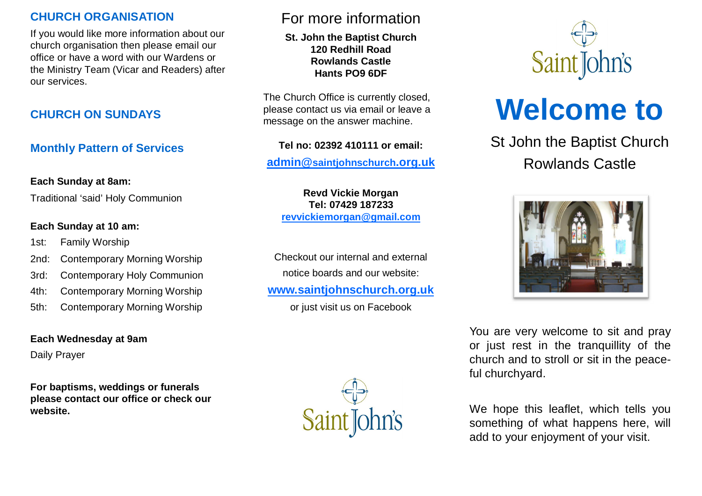# **CHURCH ORGANISATION**

If you would like more information about our church organisation then please email our office or have a word with our Wardens or the Ministry Team (Vicar and Readers) after our services.

# **CHURCH ON SUNDAYS**

# **Monthly Pattern of Services**

#### **Each Sunday at 8am:**

Traditional 'said' Holy Communion

#### **Each Sunday at 10 am:**

- 1st: Family Worship
- 2nd: Contemporary Morning Worship
- 3rd: Contemporary Holy Communion
- 4th: Contemporary Morning Worship
- 5th: Contemporary Morning Worship

# **Each Wednesday at 9am**

Daily Prayer

**For baptisms, weddings or funerals please contact our office or check our website.**

# For more information

**St. John the Baptist Church 120 Redhill Road Rowlands Castle Hants PO9 6DF**

The Church Office is currently closed, please contact us via email or leave a message on the answer machine.

#### **Tel no: 02392 410111 or email:**

**admin@[saintjohnschurch](mailto:admin@saintjohnschurch.org.uk).org.uk**

**Revd Vickie Morgan Tel: 07429 187233 [revvickiemorgan@gmail.com](mailto:revvickiemorgan@gmail.com)**

Checkout our internal and external notice boards and our website: **[www.saintjohnschurch.org.uk](http://www.saintjohnschurch.org.uk/)**

or just visit us on Facebook





# **Welcome to**

St John the Baptist Church Rowlands Castle



You are very welcome to sit and pray or just rest in the tranquillity of the church and to stroll or sit in the peaceful churchyard.

We hope this leaflet, which tells you something of what happens here, will add to your enjoyment of your visit.